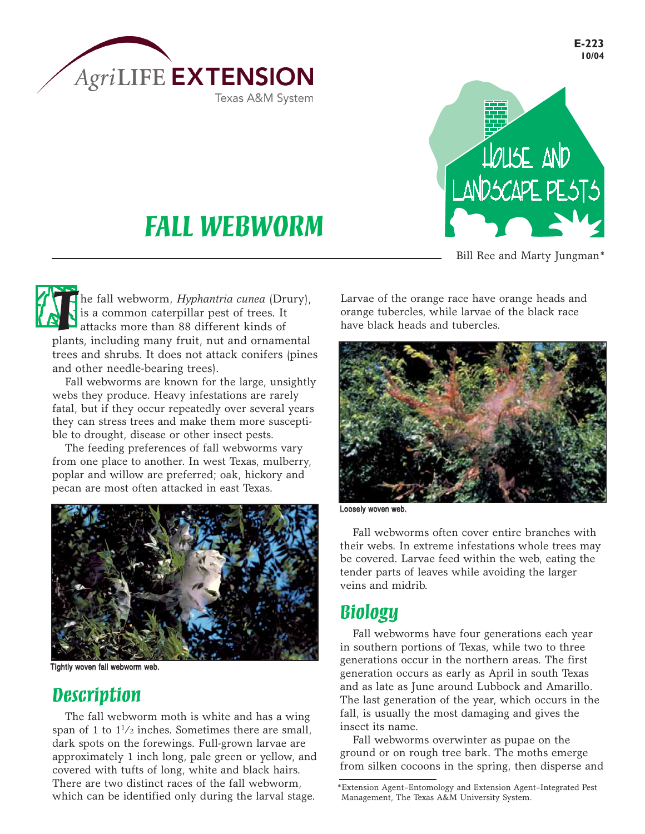



Bill Ree and Marty Jungman\*

## *FALL WEBWORM*

**The fall webworm,** *Hyphantria cunea* **(Drury),** is a common caterpillar pest of trees. It attacks more than 88 different kinds of plants, including many fruit, nut and ornamental is a common caterpillar pest of trees. It attacks more than 88 different kinds of plants, including many fruit, nut and ornamental trees and shrubs. It does not attack conifers (pines and other needle-bearing trees).

Fall webworms are known for the large, unsightly webs they produce. Heavy infestations are rarely fatal, but if they occur repeatedly over several years they can stress trees and make them more susceptible to drought, disease or other insect pests.

The feeding preferences of fall webworms vary from one place to another. In west Texas, mulberry, poplar and willow are preferred; oak, hickory and pecan are most often attacked in east Texas.



Tightly woven fall webworm web.

## *Description*

The fall webworm moth is white and has a wing span of 1 to  $1^{1/2}$  inches. Sometimes there are small, dark spots on the forewings. Full-grown larvae are approximately 1 inch long, pale green or yellow, and covered with tufts of long, white and black hairs. There are two distinct races of the fall webworm, There are two distinct races of the fall webworm,<br>which can be identified only during the larval stage. Management, The Texas A&M University System.

Larvae of the orange race have orange heads and orange tubercles, while larvae of the black race have black heads and tubercles.



Loosely woven web.

Fall webworms often cover entire branches with their webs. In extreme infestations whole trees may be covered. Larvae feed within the web, eating the tender parts of leaves while avoiding the larger veins and midrib.

## *Biology*

Fall webworms have four generations each year in southern portions of Texas, while two to three generations occur in the northern areas. The first generation occurs as early as April in south Texas and as late as June around Lubbock and Amarillo. The last generation of the year, which occurs in the fall, is usually the most damaging and gives the insect its name.

Fall webworms overwinter as pupae on the ground or on rough tree bark. The moths emerge from silken cocoons in the spring, then disperse and

**E-223 10/04**

Management, The Texas A&M University System.